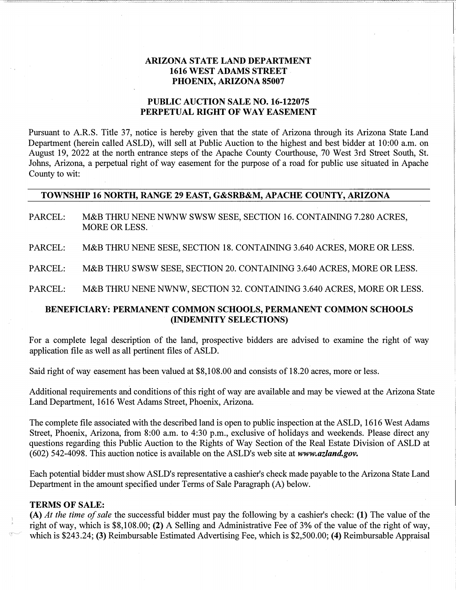### **ARIZONA STATE LAND DEPARTMENT 1616 WEST ADAMS STREET PHOENIX, ARIZONA 85007**

### **PUBLIC AUCTION SALE NO. 16-122075 PERPETUAL RIGHT OF WAY EASEMENT**

Pursuant to A.RS. Title 37, notice is hereby given that the state of Arizona through its Arizona State Land Department (herein called ASLD), will sell at Public Auction to the highest and best bidder at 10:00 a.m. on August 19, 2022 at the north entrance steps of the Apache County Courthouse, 70 West 3rd Street South, St. Johns, Arizona, a perpetual right of way easement for the purpose of a road for public use situated in Apache County to wit:

#### **TOWNSHIP 16 NORTH, RANGE 29 EAST, G&SRB&M, APACHE COUNTY, ARIZONA**

PARCEL: M&B THRU NENE NWNW SWSW SESE, SECTION 16. CONTAINING 7.280 ACRES, MORE OR LESS.

PARCEL: M&B THRU NENE SESE, SECTION 18. CONTAINING 3.640 ACRES, MORE OR LESS.

PARCEL: M&B THRU SWSW SESE, SECTION 20. CONTAINING 3.640 ACRES, MORE OR LESS.

PARCEL: M&B THRU NENE NWNW, SECTION 32. CONTAINING 3.640 ACRES, MORE OR LESS.

# **BENEFICIARY: PERMANENT COMMON SCHOOLS, PERMANENT COMMON SCHOOLS (INDEMNITY SELECTIONS)**

For a complete legal description of the land, prospective bidders are advised to examine the right of way application file as well as all pertinent files of ASLD.

Said right of way easement has been valued at \$8,108.00 and consists of 18.20 acres, more or less.

Additional requirements and conditions of this right of way are available and may be viewed at the Arizona State Land Department, 1616 West Adams Street, Phoenix, Arizona.

The complete file associated with the described land is open to public inspection at the ASLD, 1616 West Adams Street, Phoenix, Arizona, from 8:00 a.m. to 4:30 p.m., exclusive of holidays and weekends. Please direct any questions regarding this Public Auction to the Rights of Way Section of the Real Estate Division of ASLD at (602) 542-4098. This auction notice is available on the ASLD's web site at *www.azland.gov.*

Each potential bidder must show ASLD's representative a cashier's check made payable to the Arizona State Land Department in the amount specified under Terms of Sale Paragraph (A) below.

#### **TERMS OF SALE:**

**(A)** *At the time of sale* the successful bidder must pay the following by a cashier's check: **(1)** The value of the right of way, which is \$8,108.00; **(2)** A Selling and Administrative Fee of 3% of the value of the right of way, which is \$243.24; **(3)** Reimbursable Estimated Advertising Fee, which is \$2,500.00; **(4)** Reimbursable Appraisal